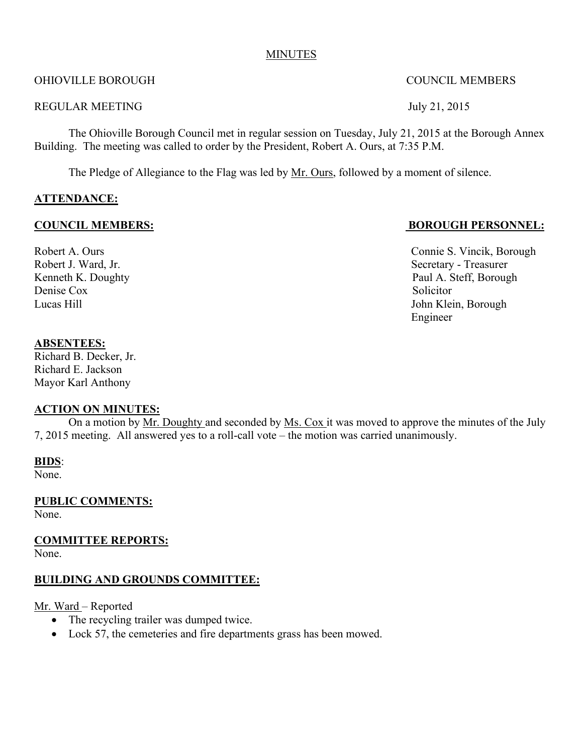#### MINUTES

OHIOVILLE BOROUGH COUNCIL MEMBERS

REGULAR MEETING July 21, 2015

The Ohioville Borough Council met in regular session on Tuesday, July 21, 2015 at the Borough Annex Building. The meeting was called to order by the President, Robert A. Ours, at 7:35 P.M.

The Pledge of Allegiance to the Flag was led by <u>Mr. Ours</u>, followed by a moment of silence.

#### **ATTENDANCE:**

Denise Cox Solicitor

## **COUNCIL MEMBERS: BOROUGH PERSONNEL:**

Robert A. Ours Connie S. Vincik, Borough Robert J. Ward, Jr. Secretary - Treasurer Kenneth K. Doughty Paul A. Steff, Borough Lucas Hill John Klein, Borough Engineer

#### **ABSENTEES:**

Richard B. Decker, Jr. Richard E. Jackson Mayor Karl Anthony

## **ACTION ON MINUTES:**

On a motion by Mr. Doughty and seconded by Ms. Cox it was moved to approve the minutes of the July 7, 2015 meeting. All answered yes to a roll-call vote – the motion was carried unanimously.

**BIDS**:

None.

**PUBLIC COMMENTS:** None.

**COMMITTEE REPORTS:**

None.

## **BUILDING AND GROUNDS COMMITTEE:**

Mr. Ward – Reported

- The recycling trailer was dumped twice.
- Lock 57, the cemeteries and fire departments grass has been mowed.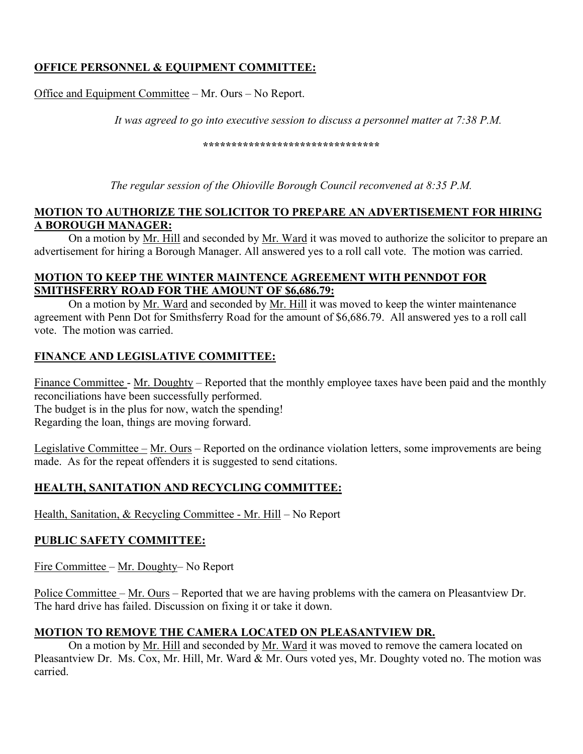# **OFFICE PERSONNEL & EQUIPMENT COMMITTEE:**

Office and Equipment Committee – Mr. Ours – No Report.

*It was agreed to go into executive session to discuss a personnel matter at 7:38 P.M.*

**\*\*\*\*\*\*\*\*\*\*\*\*\*\*\*\*\*\*\*\*\*\*\*\*\*\*\*\*\*\*\***

*The regular session of the Ohioville Borough Council reconvened at 8:35 P.M.*

#### **MOTION TO AUTHORIZE THE SOLICITOR TO PREPARE AN ADVERTISEMENT FOR HIRING A BOROUGH MANAGER:**

On a motion by Mr. Hill and seconded by Mr. Ward it was moved to authorize the solicitor to prepare an advertisement for hiring a Borough Manager. All answered yes to a roll call vote. The motion was carried.

## **MOTION TO KEEP THE WINTER MAINTENCE AGREEMENT WITH PENNDOT FOR SMITHSFERRY ROAD FOR THE AMOUNT OF \$6,686.79:**

On a motion by Mr. Ward and seconded by Mr. Hill it was moved to keep the winter maintenance agreement with Penn Dot for Smithsferry Road for the amount of \$6,686.79. All answered yes to a roll call vote. The motion was carried.

## **FINANCE AND LEGISLATIVE COMMITTEE:**

Finance Committee - Mr. Doughty – Reported that the monthly employee taxes have been paid and the monthly reconciliations have been successfully performed. The budget is in the plus for now, watch the spending!

Regarding the loan, things are moving forward.

Legislative Committee – Mr. Ours – Reported on the ordinance violation letters, some improvements are being made. As for the repeat offenders it is suggested to send citations.

## **HEALTH, SANITATION AND RECYCLING COMMITTEE:**

Health, Sanitation, & Recycling Committee - Mr. Hill – No Report

## **PUBLIC SAFETY COMMITTEE:**

Fire Committee – Mr. Doughty– No Report

Police Committee – Mr. Ours – Reported that we are having problems with the camera on Pleasantview Dr. The hard drive has failed. Discussion on fixing it or take it down.

## **MOTION TO REMOVE THE CAMERA LOCATED ON PLEASANTVIEW DR.**

On a motion by Mr. Hill and seconded by Mr. Ward it was moved to remove the camera located on Pleasantview Dr. Ms. Cox, Mr. Hill, Mr. Ward & Mr. Ours voted yes, Mr. Doughty voted no. The motion was carried.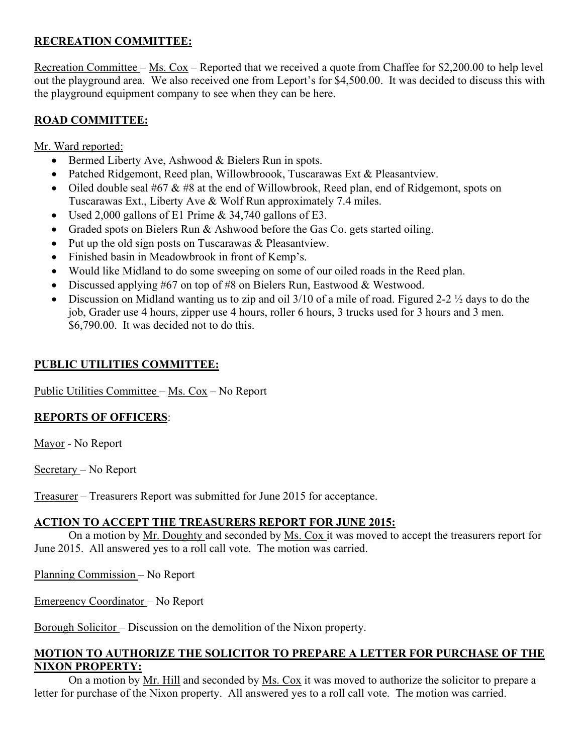## **RECREATION COMMITTEE:**

Recreation Committee – Ms. Cox – Reported that we received a quote from Chaffee for \$2,200.00 to help level out the playground area. We also received one from Leport's for \$4,500.00. It was decided to discuss this with the playground equipment company to see when they can be here.

# **ROAD COMMITTEE:**

Mr. Ward reported:

- Bermed Liberty Ave, Ashwood & Bielers Run in spots.
- Patched Ridgemont, Reed plan, Willowbroook, Tuscarawas Ext & Pleasantview.
- Oiled double seal #67 & #8 at the end of Willowbrook, Reed plan, end of Ridgemont, spots on Tuscarawas Ext., Liberty Ave & Wolf Run approximately 7.4 miles.
- Used 2,000 gallons of E1 Prime & 34,740 gallons of E3.
- Graded spots on Bielers Run & Ashwood before the Gas Co. gets started oiling.
- Put up the old sign posts on Tuscarawas & Pleasantview.
- Finished basin in Meadowbrook in front of Kemp's.
- Would like Midland to do some sweeping on some of our oiled roads in the Reed plan.
- Discussed applying #67 on top of #8 on Bielers Run, Eastwood & Westwood.
- Discussion on Midland wanting us to zip and oil 3/10 of a mile of road. Figured 2-2 ½ days to do the job, Grader use 4 hours, zipper use 4 hours, roller 6 hours, 3 trucks used for 3 hours and 3 men. \$6,790.00. It was decided not to do this.

## **PUBLIC UTILITIES COMMITTEE:**

Public Utilities Committee – Ms. Cox – No Report

## **REPORTS OF OFFICERS**:

Mayor - No Report

Secretary – No Report

Treasurer – Treasurers Report was submitted for June 2015 for acceptance.

## **ACTION TO ACCEPT THE TREASURERS REPORT FOR JUNE 2015:**

On a motion by Mr. Doughty and seconded by Ms. Cox it was moved to accept the treasurers report for June 2015. All answered yes to a roll call vote. The motion was carried.

Planning Commission – No Report

Emergency Coordinator – No Report

Borough Solicitor – Discussion on the demolition of the Nixon property.

## **MOTION TO AUTHORIZE THE SOLICITOR TO PREPARE A LETTER FOR PURCHASE OF THE NIXON PROPERTY:**

On a motion by Mr. Hill and seconded by Ms. Cox it was moved to authorize the solicitor to prepare a letter for purchase of the Nixon property. All answered yes to a roll call vote. The motion was carried.